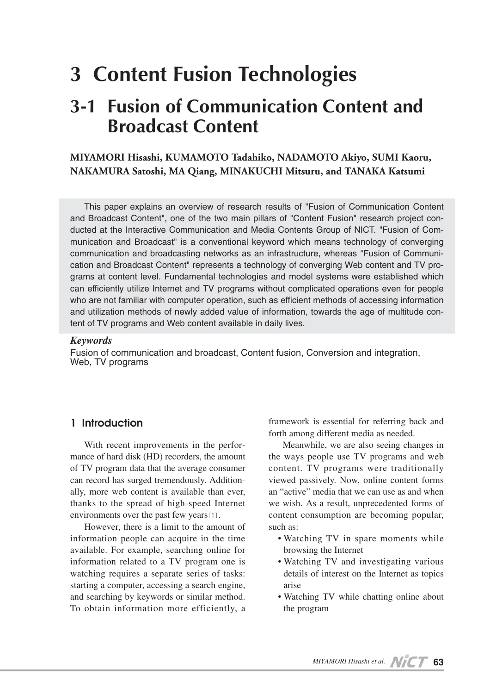# **3 Content Fusion Technologies**

## **3-1 Fusion of Communication Content and Broadcast Content**

**MIYAMORI Hisashi, KUMAMOTO Tadahiko, NADAMOTO Akiyo, SUMI Kaoru, NAKAMURA Satoshi, MA Qiang, MINAKUCHI Mitsuru, and TANAKA Katsumi**

This paper explains an overview of research results of "Fusion of Communication Content and Broadcast Content", one of the two main pillars of "Content Fusion" research project conducted at the Interactive Communication and Media Contents Group of NICT. "Fusion of Communication and Broadcast" is a conventional keyword which means technology of converging communication and broadcasting networks as an infrastructure, whereas "Fusion of Communication and Broadcast Content" represents a technology of converging Web content and TV programs at content level. Fundamental technologies and model systems were established which can efficiently utilize Internet and TV programs without complicated operations even for people who are not familiar with computer operation, such as efficient methods of accessing information and utilization methods of newly added value of information, towards the age of multitude content of TV programs and Web content available in daily lives.

#### *Keywords*

Fusion of communication and broadcast, Content fusion, Conversion and integration, Web, TV programs

## **1 Introduction**

With recent improvements in the performance of hard disk (HD) recorders, the amount of TV program data that the average consumer can record has surged tremendously. Additionally, more web content is available than ever, thanks to the spread of high-speed Internet environments over the past few years[1].

However, there is a limit to the amount of information people can acquire in the time available. For example, searching online for information related to a TV program one is watching requires a separate series of tasks: starting a computer, accessing a search engine, and searching by keywords or similar method. To obtain information more efficiently, a framework is essential for referring back and forth among different media as needed.

Meanwhile, we are also seeing changes in the ways people use TV programs and web content. TV programs were traditionally viewed passively. Now, online content forms an "active" media that we can use as and when we wish. As a result, unprecedented forms of content consumption are becoming popular, such as:

- Watching TV in spare moments while browsing the Internet
- Watching TV and investigating various details of interest on the Internet as topics arise
- Watching TV while chatting online about the program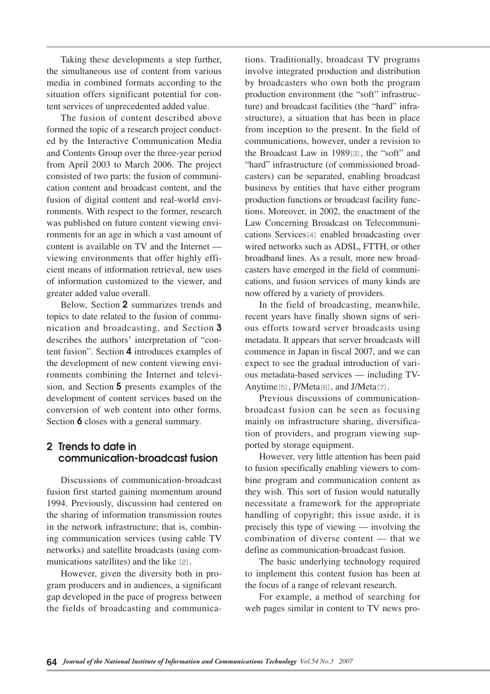Taking these developments a step further, the simultaneous use of content from various media in combined formats according to the situation offers significant potential for content services of unprecedented added value.

The fusion of content described above formed the topic of a research project conducted by the Interactive Communication Media and Contents Group over the three-year period from April 2003 to March 2006. The project consisted of two parts: the fusion of communication content and broadcast content, and the fusion of digital content and real-world environments. With respect to the former, research was published on future content viewing environments for an age in which a vast amount of content is available on TV and the Internet viewing environments that offer highly efficient means of information retrieval, new uses of information customized to the viewer, and greater added value overall.

Below, Section **2** summarizes trends and topics to date related to the fusion of communication and broadcasting, and Section **3** describes the authors' interpretation of "content fusion". Section **4** introduces examples of the development of new content viewing environments combining the Internet and television, and Section **5** presents examples of the development of content services based on the conversion of web content into other forms. Section **6** closes with a general summary.

## **2 Trends to date in communication-broadcast fusion**

Discussions of communication-broadcast fusion first started gaining momentum around 1994. Previously, discussion had centered on the sharing of information transmission routes in the network infrastructure; that is, combining communication services (using cable TV networks) and satellite broadcasts (using communications satellites) and the like [2].

However, given the diversity both in program producers and in audiences, a significant gap developed in the pace of progress between the fields of broadcasting and communications. Traditionally, broadcast TV programs involve integrated production and distribution by broadcasters who own both the program production environment (the "soft" infrastructure) and broadcast facilities (the "hard" infrastructure), a situation that has been in place from inception to the present. In the field of communications, however, under a revision to the Broadcast Law in 1989[3], the "soft" and "hard" infrastructure (of commissioned broadcasters) can be separated, enabling broadcast business by entities that have either program production functions or broadcast facility functions. Moreover, in 2002, the enactment of the Law Concerning Broadcast on Telecommunications Services<sup>[4]</sup> enabled broadcasting over wired networks such as ADSL, FTTH, or other broadband lines. As a result, more new broadcasters have emerged in the field of communications, and fusion services of many kinds are now offered by a variety of providers.

In the field of broadcasting, meanwhile, recent years have finally shown signs of serious efforts toward server broadcasts using metadata. It appears that server broadcasts will commence in Japan in fiscal 2007, and we can expect to see the gradual introduction of various metadata-based services — including TV-Anytime<sup>[5]</sup>, P/Meta<sup>[6]</sup>, and J/Meta<sup>[7]</sup>.

Previous discussions of communicationbroadcast fusion can be seen as focusing mainly on infrastructure sharing, diversification of providers, and program viewing supported by storage equipment.

However, very little attention has been paid to fusion specifically enabling viewers to combine program and communication content as they wish. This sort of fusion would naturally necessitate a framework for the appropriate handling of copyright; this issue aside, it is precisely this type of viewing — involving the combination of diverse content — that we define as communication-broadcast fusion.

The basic underlying technology required to implement this content fusion has been at the focus of a range of relevant research.

For example, a method of searching for web pages similar in content to TV news pro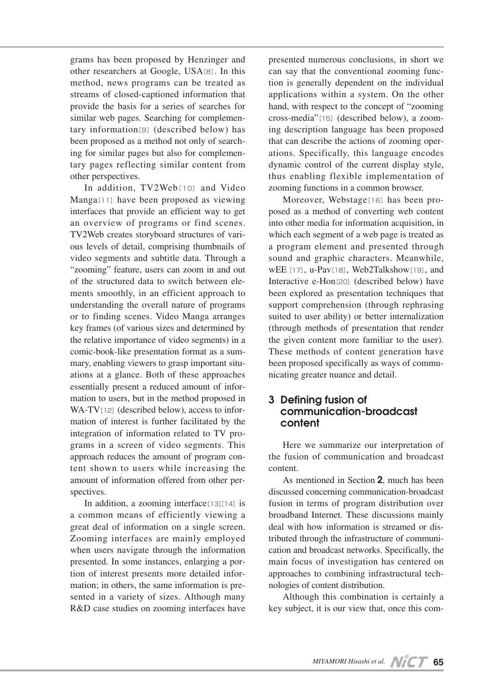grams has been proposed by Henzinger and other researchers at Google, USA[8]. In this method, news programs can be treated as streams of closed-captioned information that provide the basis for a series of searches for similar web pages. Searching for complementary information[9] (described below) has been proposed as a method not only of searching for similar pages but also for complementary pages reflecting similar content from other perspectives.

In addition, TV2Web[10] and Video Manga[11] have been proposed as viewing interfaces that provide an efficient way to get an overview of programs or find scenes. TV2Web creates storyboard structures of various levels of detail, comprising thumbnails of video segments and subtitle data. Through a "zooming" feature, users can zoom in and out of the structured data to switch between elements smoothly, in an efficient approach to understanding the overall nature of programs or to finding scenes. Video Manga arranges key frames (of various sizes and determined by the relative importance of video segments) in a comic-book-like presentation format as a summary, enabling viewers to grasp important situations at a glance. Both of these approaches essentially present a reduced amount of information to users, but in the method proposed in  $WA-TV$ [12] (described below), access to information of interest is further facilitated by the integration of information related to TV programs in a screen of video segments. This approach reduces the amount of program content shown to users while increasing the amount of information offered from other perspectives.

In addition, a zooming interface $[13][14]$  is a common means of efficiently viewing a great deal of information on a single screen. Zooming interfaces are mainly employed when users navigate through the information presented. In some instances, enlarging a portion of interest presents more detailed information; in others, the same information is presented in a variety of sizes. Although many R&D case studies on zooming interfaces have

presented numerous conclusions, in short we can say that the conventional zooming function is generally dependent on the individual applications within a system. On the other hand, with respect to the concept of "zooming cross-media"[15](described below), a zooming description language has been proposed that can describe the actions of zooming operations. Specifically, this language encodes dynamic control of the current display style, thus enabling flexible implementation of zooming functions in a common browser.

Moreover, Webstage[16] has been proposed as a method of converting web content into other media for information acquisition, in which each segment of a web page is treated as a program element and presented through sound and graphic characters. Meanwhile, wEE[17], u-Pav[18], Web2Talkshow[19], and Interactive e-Hon<sup>[20]</sup> (described below) have been explored as presentation techniques that support comprehension (through rephrasing suited to user ability) or better internalization (through methods of presentation that render the given content more familiar to the user). These methods of content generation have been proposed specifically as ways of communicating greater nuance and detail.

## **3 Defining fusion of communication-broadcast content**

Here we summarize our interpretation of the fusion of communication and broadcast content.

As mentioned in Section **2**, much has been discussed concerning communication-broadcast fusion in terms of program distribution over broadband Internet. These discussions mainly deal with how information is streamed or distributed through the infrastructure of communication and broadcast networks. Specifically, the main focus of investigation has centered on approaches to combining infrastructural technologies of content distribution.

Although this combination is certainly a key subject, it is our view that, once this com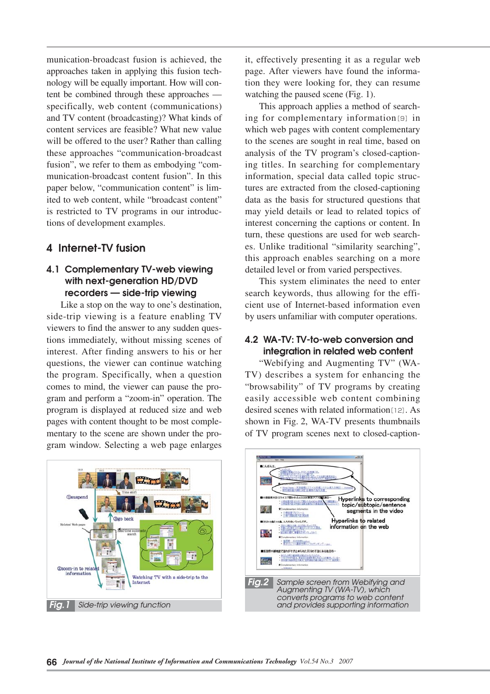munication-broadcast fusion is achieved, the approaches taken in applying this fusion technology will be equally important. How will content be combined through these approaches specifically, web content (communications) and TV content (broadcasting)? What kinds of content services are feasible? What new value will be offered to the user? Rather than calling these approaches "communication-broadcast fusion", we refer to them as embodying "communication-broadcast content fusion". In this paper below, "communication content" is limited to web content, while "broadcast content" is restricted to TV programs in our introductions of development examples.

## **4 Internet-TV fusion**

## **4.1 Complementary TV-web viewing with next-generation HD/DVD recorders — side-trip viewing**

Like a stop on the way to one's destination, side-trip viewing is a feature enabling TV viewers to find the answer to any sudden questions immediately, without missing scenes of interest. After finding answers to his or her questions, the viewer can continue watching the program. Specifically, when a question comes to mind, the viewer can pause the program and perform a "zoom-in" operation. The program is displayed at reduced size and web pages with content thought to be most complementary to the scene are shown under the program window. Selecting a web page enlarges

it, effectively presenting it as a regular web page. After viewers have found the information they were looking for, they can resume watching the paused scene (Fig. 1).

This approach applies a method of searching for complementary information[9] in which web pages with content complementary to the scenes are sought in real time, based on analysis of the TV program's closed-captioning titles. In searching for complementary information, special data called topic structures are extracted from the closed-captioning data as the basis for structured questions that may yield details or lead to related topics of interest concerning the captions or content. In turn, these questions are used for web searches. Unlike traditional "similarity searching", this approach enables searching on a more detailed level or from varied perspectives.

This system eliminates the need to enter search keywords, thus allowing for the efficient use of Internet-based information even by users unfamiliar with computer operations.

## **4.2 WA-TV: TV-to-web conversion and integration in related web content**

"Webifying and Augmenting TV" (WA-TV) describes a system for enhancing the "browsability" of TV programs by creating easily accessible web content combining desired scenes with related information[12]. As shown in Fig. 2, WA-TV presents thumbnails of TV program scenes next to closed-caption-



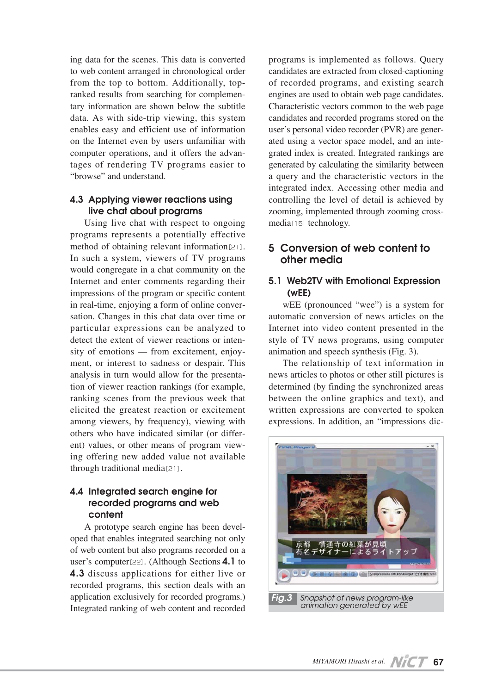ing data for the scenes. This data is converted to web content arranged in chronological order from the top to bottom. Additionally, topranked results from searching for complementary information are shown below the subtitle data. As with side-trip viewing, this system enables easy and efficient use of information on the Internet even by users unfamiliar with computer operations, and it offers the advantages of rendering TV programs easier to "browse" and understand.

## **4.3 Applying viewer reactions using live chat about programs**

Using live chat with respect to ongoing programs represents a potentially effective method of obtaining relevant information[21]. In such a system, viewers of TV programs would congregate in a chat community on the Internet and enter comments regarding their impressions of the program or specific content in real-time, enjoying a form of online conversation. Changes in this chat data over time or particular expressions can be analyzed to detect the extent of viewer reactions or intensity of emotions — from excitement, enjoyment, or interest to sadness or despair. This analysis in turn would allow for the presentation of viewer reaction rankings (for example, ranking scenes from the previous week that elicited the greatest reaction or excitement among viewers, by frequency), viewing with others who have indicated similar (or different) values, or other means of program viewing offering new added value not available through traditional media[21].

## **4.4 Integrated search engine for recorded programs and web content**

A prototype search engine has been developed that enables integrated searching not only of web content but also programs recorded on a user's computer[22]. (Although Sections **4.1** to **4.3** discuss applications for either live or recorded programs, this section deals with an application exclusively for recorded programs.) Integrated ranking of web content and recorded

programs is implemented as follows. Query candidates are extracted from closed-captioning of recorded programs, and existing search engines are used to obtain web page candidates. Characteristic vectors common to the web page candidates and recorded programs stored on the user's personal video recorder (PVR) are generated using a vector space model, and an integrated index is created. Integrated rankings are generated by calculating the similarity between a query and the characteristic vectors in the integrated index. Accessing other media and controlling the level of detail is achieved by zooming, implemented through zooming crossmedia<sup>[15]</sup> technology.

## **5 Conversion of web content to other media**

## **5.1 Web2TV with Emotional Expression (wEE)**

wEE (pronounced "wee") is a system for automatic conversion of news articles on the Internet into video content presented in the style of TV news programs, using computer animation and speech synthesis (Fig. 3).

The relationship of text information in news articles to photos or other still pictures is determined (by finding the synchronized areas between the online graphics and text), and written expressions are converted to spoken expressions. In addition, an "impressions dic-

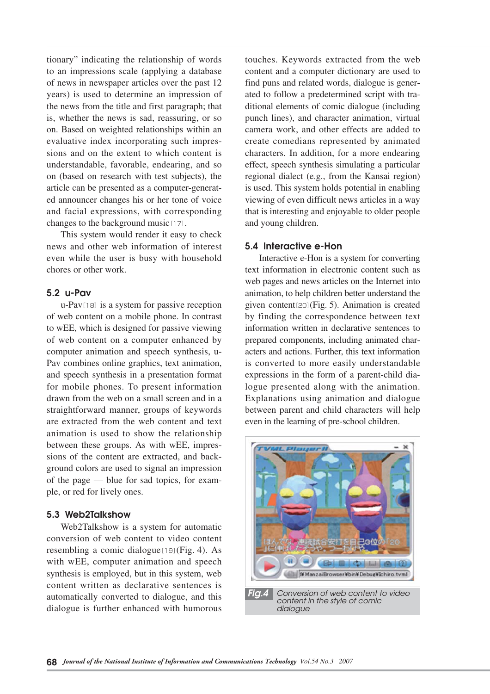tionary" indicating the relationship of words to an impressions scale (applying a database of news in newspaper articles over the past 12 years) is used to determine an impression of the news from the title and first paragraph; that is, whether the news is sad, reassuring, or so on. Based on weighted relationships within an evaluative index incorporating such impressions and on the extent to which content is understandable, favorable, endearing, and so on (based on research with test subjects), the article can be presented as a computer-generated announcer changes his or her tone of voice and facial expressions, with corresponding changes to the background music[17].

This system would render it easy to check news and other web information of interest even while the user is busy with household chores or other work.

### **5.2 u-Pav**

u-Pav[18]is a system for passive reception of web content on a mobile phone. In contrast to wEE, which is designed for passive viewing of web content on a computer enhanced by computer animation and speech synthesis, u-Pav combines online graphics, text animation, and speech synthesis in a presentation format for mobile phones. To present information drawn from the web on a small screen and in a straightforward manner, groups of keywords are extracted from the web content and text animation is used to show the relationship between these groups. As with wEE, impressions of the content are extracted, and background colors are used to signal an impression of the page — blue for sad topics, for example, or red for lively ones.

#### **5.3 Web2Talkshow**

Web2Talkshow is a system for automatic conversion of web content to video content resembling a comic dialogue $[19]$ (Fig. 4). As with wEE, computer animation and speech synthesis is employed, but in this system, web content written as declarative sentences is automatically converted to dialogue, and this dialogue is further enhanced with humorous

touches. Keywords extracted from the web content and a computer dictionary are used to find puns and related words, dialogue is generated to follow a predetermined script with traditional elements of comic dialogue (including punch lines), and character animation, virtual camera work, and other effects are added to create comedians represented by animated characters. In addition, for a more endearing effect, speech synthesis simulating a particular regional dialect (e.g., from the Kansai region) is used. This system holds potential in enabling viewing of even difficult news articles in a way that is interesting and enjoyable to older people and young children.

#### **5.4 Interactive e-Hon**

Interactive e-Hon is a system for converting text information in electronic content such as web pages and news articles on the Internet into animation, to help children better understand the given content[20](Fig. 5). Animation is created by finding the correspondence between text information written in declarative sentences to prepared components, including animated characters and actions. Further, this text information is converted to more easily understandable expressions in the form of a parent-child dialogue presented along with the animation. Explanations using animation and dialogue between parent and child characters will help even in the learning of pre-school children.

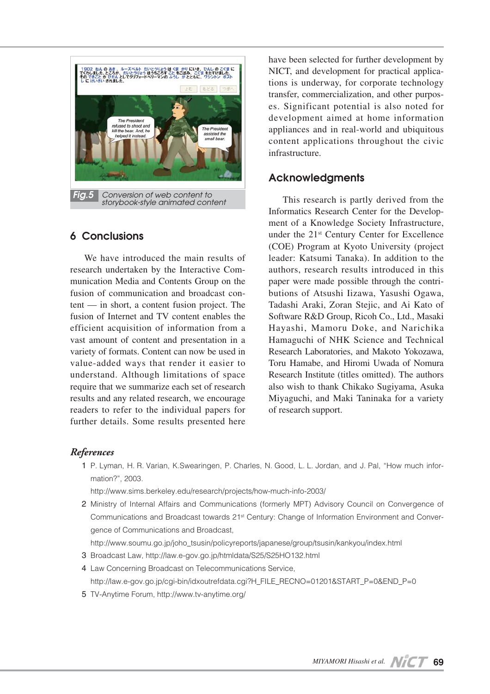

## **6 Conclusions**

We have introduced the main results of research undertaken by the Interactive Communication Media and Contents Group on the fusion of communication and broadcast content — in short, a content fusion project. The fusion of Internet and TV content enables the efficient acquisition of information from a vast amount of content and presentation in a variety of formats. Content can now be used in value-added ways that render it easier to understand. Although limitations of space require that we summarize each set of research results and any related research, we encourage readers to refer to the individual papers for further details. Some results presented here have been selected for further development by NICT, and development for practical applications is underway, for corporate technology transfer, commercialization, and other purposes. Significant potential is also noted for development aimed at home information appliances and in real-world and ubiquitous content applications throughout the civic infrastructure.

## **Acknowledgments**

This research is partly derived from the Informatics Research Center for the Development of a Knowledge Society Infrastructure, under the 21st Century Center for Excellence (COE) Program at Kyoto University (project leader: Katsumi Tanaka). In addition to the authors, research results introduced in this paper were made possible through the contributions of Atsushi Iizawa, Yasushi Ogawa, Tadashi Araki, Zoran Stejic, and Ai Kato of Software R&D Group, Ricoh Co., Ltd., Masaki Hayashi, Mamoru Doke, and Narichika Hamaguchi of NHK Science and Technical Research Laboratories, and Makoto Yokozawa, Toru Hamabe, and Hiromi Uwada of Nomura Research Institute (titles omitted). The authors also wish to thank Chikako Sugiyama, Asuka Miyaguchi, and Maki Taninaka for a variety of research support.

## *References*

01 P. Lyman, H. R. Varian, K.Swearingen, P. Charles, N. Good, L. L. Jordan, and J. Pal, "How much information?", 2003.

01 http://www.sims.berkeley.edu/research/projects/how-much-info-2003/

2 Ministry of Internal Affairs and Communications (formerly MPT) Advisory Council on Convergence of Communications and Broadcast towards 21st Century: Change of Information Environment and Convergence of Communications and Broadcast,

02 http://www.soumu.go.jp/joho\_tsusin/policyreports/japanese/group/tsusin/kankyou/index.html

- 03 Broadcast Law, http://law.e-gov.go.jp/htmldata/S25/S25HO132.html
- 4 Law Concerning Broadcast on Telecommunications Service,

04 http://law.e-gov.go.jp/cgi-bin/idxoutrefdata.cgi?H\_FILE\_RECNO=01201&START\_P=0&END\_P=0

05 TV-Anytime Forum, http://www.tv-anytime.org/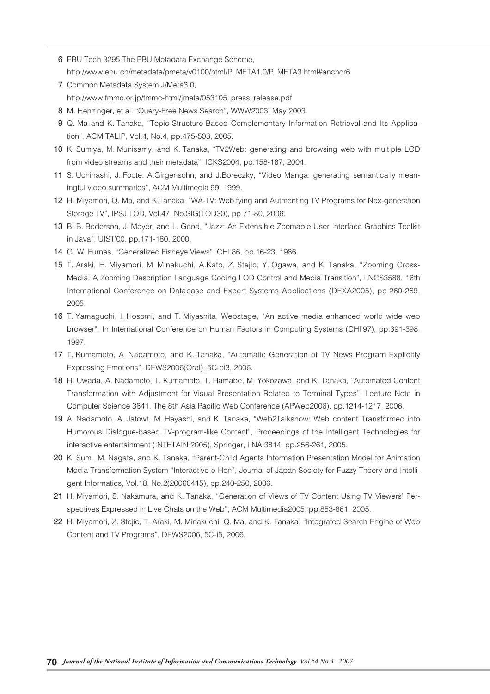- 06 EBU Tech 3295 The EBU Metadata Exchange Scheme, 06 http://www.ebu.ch/metadata/pmeta/v0100/html/P\_META1.0/P\_META3.html#anchor6
- 07 Common Metadata System J/Meta3.0, 07 http://www.fmmc.or.jp/fmmc-html/jmeta/053105\_press\_release.pdf
- 8 M. Henzinger, et al, "Query-Free News Search", WWW2003, May 2003.
- 09 Q. Ma and K. Tanaka, "Topic-Structure-Based Complementary Information Retrieval and Its Application", ACM TALIP, Vol.4, No.4, pp.475-503, 2005.
- 10 K. Sumiya, M. Munisamy, and K. Tanaka, "TV2Web: generating and browsing web with multiple LOD from video streams and their metadata", ICKS2004, pp.158-167, 2004.
- 11 S. Uchihashi, J. Foote, A.Girgensohn, and J.Boreczky, "Video Manga: generating semantically meaningful video summaries", ACM Multimedia 99, 1999.
- 12 H. Miyamori, Q. Ma, and K.Tanaka, "WA-TV: Webifying and Autmenting TV Programs for Nex-generation Storage TV", IPSJ TOD, Vol.47, No.SIG(TOD30), pp.71-80, 2006.
- 13 B. B. Bederson, J. Meyer, and L. Good, "Jazz: An Extensible Zoomable User Interface Graphics Toolkit in Java", UIST'00, pp.171-180, 2000.
- 14 G. W. Furnas, "Generalized Fisheye Views", CHI'86, pp.16-23, 1986.
- 15 T. Araki, H. Miyamori, M. Minakuchi, A.Kato, Z. Stejic, Y. Ogawa, and K. Tanaka, "Zooming Cross-Media: A Zooming Description Language Coding LOD Control and Media Transition", LNCS3588, 16th International Conference on Database and Expert Systems Applications (DEXA2005), pp.260-269, 2005.
- 16 T. Yamaguchi, I. Hosomi, and T. Miyashita, Webstage, "An active media enhanced world wide web browser", In International Conference on Human Factors in Computing Systems (CHI'97), pp.391-398, 1997.
- 17 T. Kumamoto, A. Nadamoto, and K. Tanaka, "Automatic Generation of TV News Program Explicitly Expressing Emotions", DEWS2006(Oral), 5C-oi3, 2006.
- 18 H. Uwada, A. Nadamoto, T. Kumamoto, T. Hamabe, M. Yokozawa, and K. Tanaka, "Automated Content Transformation with Adjustment for Visual Presentation Related to Terminal Types", Lecture Note in Computer Science 3841, The 8th Asia Pacific Web Conference (APWeb2006), pp.1214-1217, 2006.
- 19 A. Nadamoto, A. Jatowt, M. Hayashi, and K. Tanaka, "Web2Talkshow: Web content Transformed into Humorous Dialogue-based TV-program-like Content", Proceedings of the Intelligent Technologies for interactive entertainment (INTETAIN 2005), Springer, LNAI3814, pp.256-261, 2005.
- 20 K. Sumi, M. Nagata, and K. Tanaka, "Parent-Child Agents Information Presentation Model for Animation Media Transformation System "Interactive e-Hon", Journal of Japan Society for Fuzzy Theory and Intelligent Informatics, Vol.18, No.2(20060415), pp.240-250, 2006.
- 21 H. Miyamori, S. Nakamura, and K. Tanaka, "Generation of Views of TV Content Using TV Viewers' Perspectives Expressed in Live Chats on the Web", ACM Multimedia2005, pp.853-861, 2005.
- 22 H. Miyamori, Z. Stejic, T. Araki, M. Minakuchi, Q. Ma, and K. Tanaka, "Integrated Search Engine of Web Content and TV Programs", DEWS2006, 5C-i5, 2006.